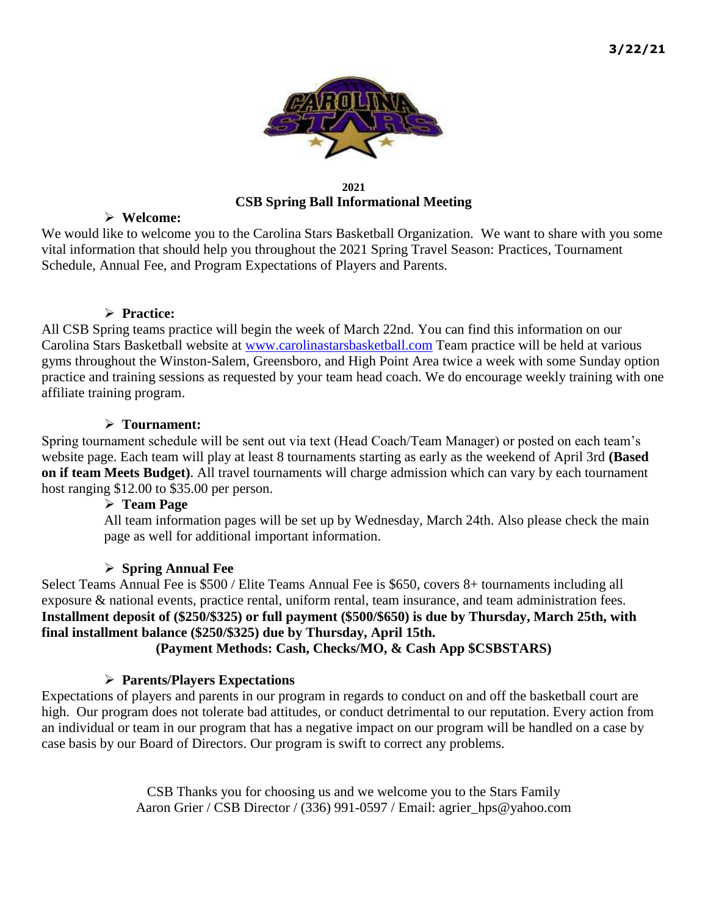

**2021 CSB Spring Ball Informational Meeting**

## **Welcome:**

We would like to welcome you to the Carolina Stars Basketball Organization. We want to share with you some vital information that should help you throughout the 2021 Spring Travel Season: Practices, Tournament Schedule, Annual Fee, and Program Expectations of Players and Parents.

## **Practice:**

All CSB Spring teams practice will begin the week of March 22nd. You can find this information on our Carolina Stars Basketball website at [www.carolinastarsbasketball.com](http://www.carolinastarsbasketball.com/) Team practice will be held at various gyms throughout the Winston-Salem, Greensboro, and High Point Area twice a week with some Sunday option practice and training sessions as requested by your team head coach. We do encourage weekly training with one affiliate training program.

## **Tournament:**

Spring tournament schedule will be sent out via text (Head Coach/Team Manager) or posted on each team's website page. Each team will play at least 8 tournaments starting as early as the weekend of April 3rd **(Based on if team Meets Budget)**. All travel tournaments will charge admission which can vary by each tournament host ranging \$12.00 to \$35.00 per person.

## **Team Page**

All team information pages will be set up by Wednesday, March 24th. Also please check the main page as well for additional important information.

## **Spring Annual Fee**

Select Teams Annual Fee is \$500 / Elite Teams Annual Fee is \$650, covers 8+ tournaments including all exposure & national events, practice rental, uniform rental, team insurance, and team administration fees. **Installment deposit of (\$250/\$325) or full payment (\$500/\$650) is due by Thursday, March 25th, with final installment balance (\$250/\$325) due by Thursday, April 15th.** 

**(Payment Methods: Cash, Checks/MO, & Cash App \$CSBSTARS)**

## **Parents/Players Expectations**

Expectations of players and parents in our program in regards to conduct on and off the basketball court are high. Our program does not tolerate bad attitudes, or conduct detrimental to our reputation. Every action from an individual or team in our program that has a negative impact on our program will be handled on a case by case basis by our Board of Directors. Our program is swift to correct any problems.

> CSB Thanks you for choosing us and we welcome you to the Stars Family Aaron Grier / CSB Director / (336) 991-0597 / Email: agrier\_hps@yahoo.com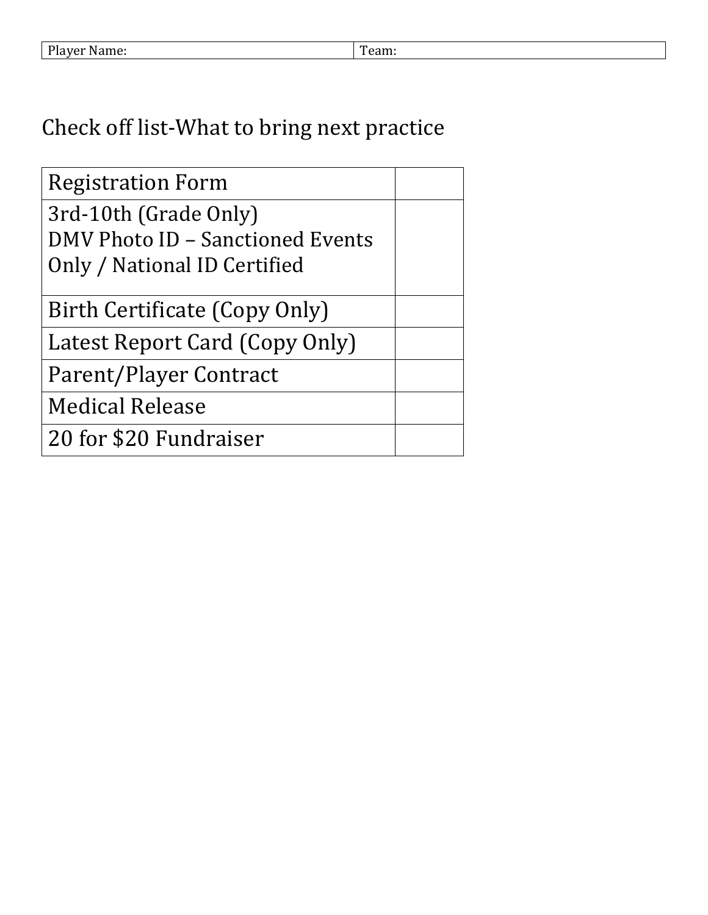# Check off list-What to bring next practice

| <b>Registration Form</b>         |  |
|----------------------------------|--|
| 3rd-10th (Grade Only)            |  |
| DMV Photo ID - Sanctioned Events |  |
| Only / National ID Certified     |  |
|                                  |  |
| Birth Certificate (Copy Only)    |  |
| Latest Report Card (Copy Only)   |  |
| Parent/Player Contract           |  |
| <b>Medical Release</b>           |  |
| 20 for \$20 Fundraiser           |  |
|                                  |  |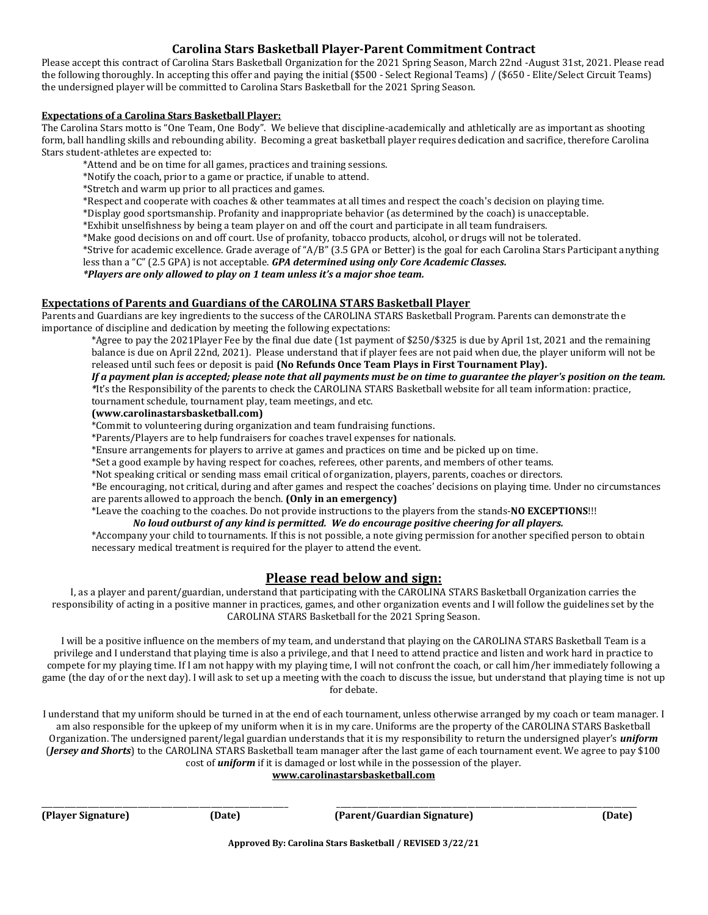#### **Carolina Stars Basketball Player-Parent Commitment Contract**

Please accept this contract of Carolina Stars Basketball Organization for the 2021 Spring Season, March 22nd -August 31st, 2021. Please read the following thoroughly. In accepting this offer and paying the initial (\$500 - Select Regional Teams) / (\$650 - Elite/Select Circuit Teams) the undersigned player will be committed to Carolina Stars Basketball for the 2021 Spring Season.

#### **Expectations of a Carolina Stars Basketball Player:**

The Carolina Stars motto is "One Team, One Body". We believe that discipline-academically and athletically are as important as shooting form, ball handling skills and rebounding ability. Becoming a great basketball player requires dedication and sacrifice, therefore Carolina Stars student-athletes are expected to:

\*Attend and be on time for all games, practices and training sessions.

\*Notify the coach, prior to a game or practice, if unable to attend.

\*Stretch and warm up prior to all practices and games.

\*Respect and cooperate with coaches & other teammates at all times and respect the coach's decision on playing time.

\*Display good sportsmanship. Profanity and inappropriate behavior (as determined by the coach) is unacceptable.

\*Exhibit unselfishness by being a team player on and off the court and participate in all team fundraisers.

\*Make good decisions on and off court. Use of profanity, tobacco products, alcohol, or drugs will not be tolerated.

\*Strive for academic excellence. Grade average of "A/B" (3.5 GPA or Better) is the goal for each Carolina Stars Participant anything less than a "C" (2.5 GPA) is not acceptable. *GPA determined using only Core Academic Classes.*

*\*Players are only allowed to play on 1 team unless it's a major shoe team.*

#### **Expectations of Parents and Guardians of the CAROLINA STARS Basketball Player**

Parents and Guardians are key ingredients to the success of the CAROLINA STARS Basketball Program. Parents can demonstrate the importance of discipline and dedication by meeting the following expectations:

\*Agree to pay the 2021Player Fee by the final due date (1st payment of \$250/\$325 is due by April 1st, 2021 and the remaining balance is due on April 22nd, 2021). Please understand that if player fees are not paid when due, the player uniform will not be released until such fees or deposit is paid **(No Refunds Once Team Plays in First Tournament Play).**

*If a payment plan is accepted; please note that all payments must be on time to guarantee the player's position on the team. \**It's the Responsibility of the parents to check the CAROLINA STARS Basketball website for all team information: practice, tournament schedule, tournament play, team meetings, and etc.

#### **(www.carolinastarsbasketball.com)**

\*Commit to volunteering during organization and team fundraising functions.

\*Parents/Players are to help fundraisers for coaches travel expenses for nationals.

\*Ensure arrangements for players to arrive at games and practices on time and be picked up on time.

\*Set a good example by having respect for coaches, referees, other parents, and members of other teams.

\*Not speaking critical or sending mass email critical of organization, players, parents, coaches or directors.

\*Be encouraging, not critical, during and after games and respect the coaches' decisions on playing time. Under no circumstances are parents allowed to approach the bench. **(Only in an emergency)**

\*Leave the coaching to the coaches. Do not provide instructions to the players from the stands-**NO EXCEPTIONS**!!!

*No loud outburst of any kind is permitted. We do encourage positive cheering for all players.*

\*Accompany your child to tournaments. If this is not possible, a note giving permission for another specified person to obtain necessary medical treatment is required for the player to attend the event.

#### **Please read below and sign:**

I, as a player and parent/guardian, understand that participating with the CAROLINA STARS Basketball Organization carries the responsibility of acting in a positive manner in practices, games, and other organization events and I will follow the guidelines set by the CAROLINA STARS Basketball for the 2021 Spring Season.

I will be a positive influence on the members of my team, and understand that playing on the CAROLINA STARS Basketball Team is a privilege and I understand that playing time is also a privilege, and that I need to attend practice and listen and work hard in practice to compete for my playing time. If I am not happy with my playing time, I will not confront the coach, or call him/her immediately following a game (the day of or the next day). I will ask to set up a meeting with the coach to discuss the issue, but understand that playing time is not up for debate.

I understand that my uniform should be turned in at the end of each tournament, unless otherwise arranged by my coach or team manager. I am also responsible for the upkeep of my uniform when it is in my care. Uniforms are the property of the CAROLINA STARS Basketball Organization. The undersigned parent/legal guardian understands that it is my responsibility to return the undersigned player's *uniform* (*Jersey and Shorts*) to the CAROLINA STARS Basketball team manager after the last game of each tournament event. We agree to pay \$100 cost of *uniform* if it is damaged or lost while in the possession of the player.

### **www.carolinastarsbasketball.com**

\_\_\_\_\_\_\_\_\_\_\_\_\_\_\_\_\_\_\_\_\_\_\_\_\_\_\_\_\_\_\_\_\_\_\_\_\_\_\_\_\_\_\_\_\_\_\_\_\_\_\_\_\_\_\_\_\_\_\_\_\_\_\_\_ \_\_\_\_\_\_\_\_\_\_\_\_\_\_\_\_\_\_\_\_\_\_\_\_\_\_\_\_\_\_\_\_\_\_\_\_\_\_\_\_\_\_\_\_\_\_\_\_\_\_\_\_\_\_\_\_\_\_\_\_\_\_\_\_\_\_\_\_\_\_\_\_\_\_\_\_\_\_ **(Player Signature) (Date) (Parent/Guardian Signature) (Date) Approved By: Carolina Stars Basketball / REVISED 3/22/21**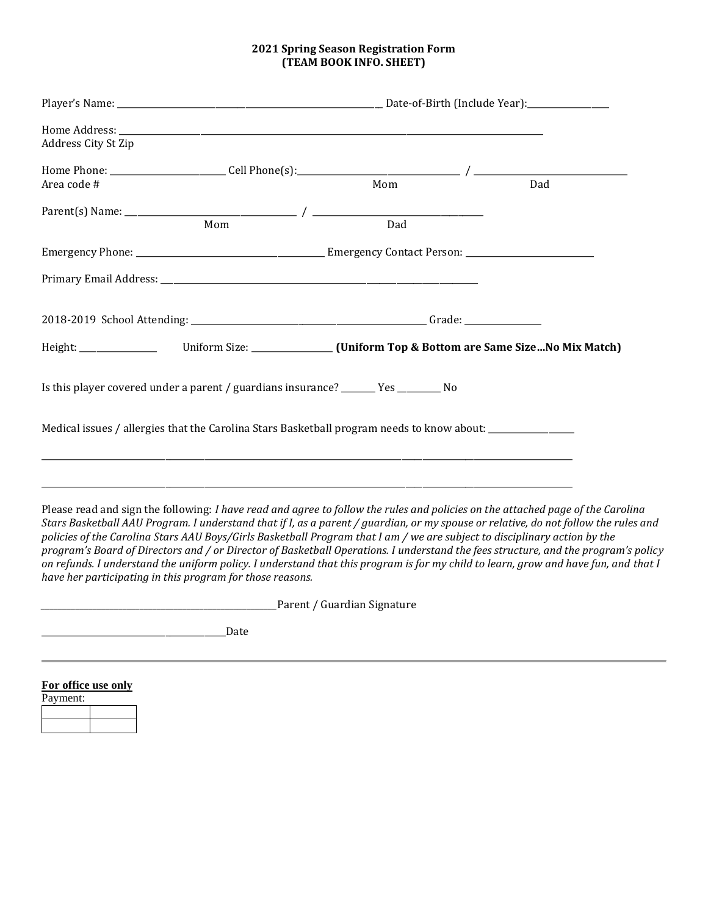#### **2021 Spring Season Registration Form (TEAM BOOK INFO. SHEET)**

| Home Address: North States and States and States and States and States and States and States and States and States and States and States and States and States and States and States and States and States and States and Stat<br>Address City St Zip                                                                                                                                                                                                                                                                                                                                                                                                                                                                                                 |                             |     |
|-------------------------------------------------------------------------------------------------------------------------------------------------------------------------------------------------------------------------------------------------------------------------------------------------------------------------------------------------------------------------------------------------------------------------------------------------------------------------------------------------------------------------------------------------------------------------------------------------------------------------------------------------------------------------------------------------------------------------------------------------------|-----------------------------|-----|
|                                                                                                                                                                                                                                                                                                                                                                                                                                                                                                                                                                                                                                                                                                                                                       |                             |     |
| $Parent(s) Name:$ Mom Dad                                                                                                                                                                                                                                                                                                                                                                                                                                                                                                                                                                                                                                                                                                                             |                             | Dad |
|                                                                                                                                                                                                                                                                                                                                                                                                                                                                                                                                                                                                                                                                                                                                                       |                             |     |
|                                                                                                                                                                                                                                                                                                                                                                                                                                                                                                                                                                                                                                                                                                                                                       |                             |     |
|                                                                                                                                                                                                                                                                                                                                                                                                                                                                                                                                                                                                                                                                                                                                                       |                             |     |
|                                                                                                                                                                                                                                                                                                                                                                                                                                                                                                                                                                                                                                                                                                                                                       |                             |     |
| Is this player covered under a parent / guardians insurance? _______ Yes ________ No<br>Medical issues / allergies that the Carolina Stars Basketball program needs to know about: _______________                                                                                                                                                                                                                                                                                                                                                                                                                                                                                                                                                    |                             |     |
| Please read and sign the following: I have read and agree to follow the rules and policies on the attached page of the Carolina<br>Stars Basketball AAU Program. I understand that if I, as a parent / guardian, or my spouse or relative, do not follow the rules and<br>policies of the Carolina Stars AAU Boys/Girls Basketball Program that I am / we are subject to disciplinary action by the<br>program's Board of Directors and / or Director of Basketball Operations. I understand the fees structure, and the program's policy<br>on refunds. I understand the uniform policy. I understand that this program is for my child to learn, grow and have fun, and that I<br>have her participating in this program for those reasons.<br>Date | Parent / Guardian Signature |     |
| For office use only<br>Payment:                                                                                                                                                                                                                                                                                                                                                                                                                                                                                                                                                                                                                                                                                                                       |                             |     |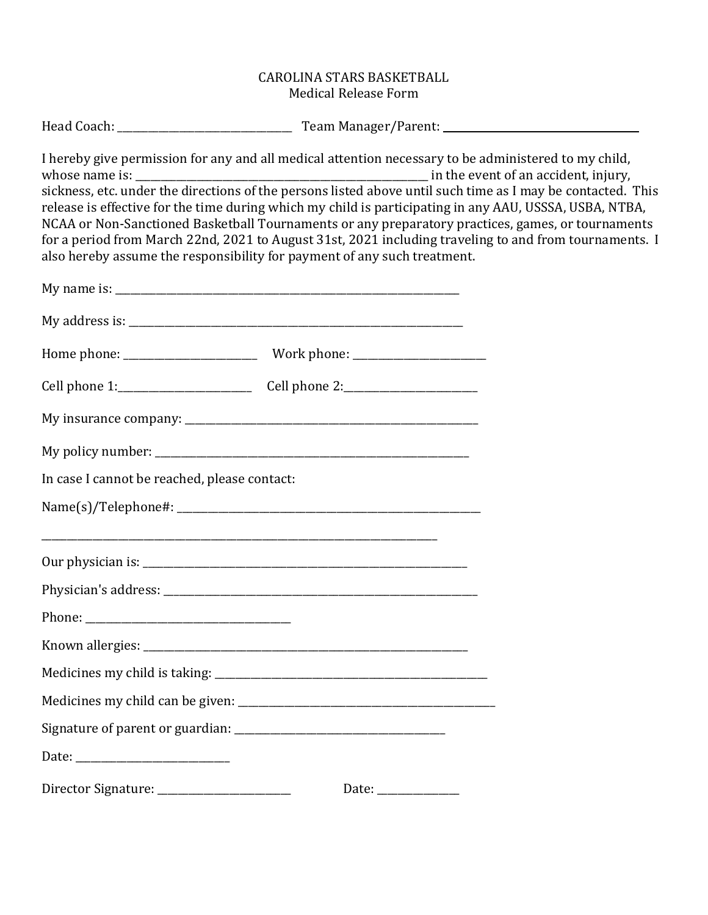## CAROLINA STARS BASKETBALL Medical Release Form

Head Coach: \_\_\_\_\_\_\_\_\_\_\_\_\_\_\_\_\_\_\_\_\_\_\_\_\_\_\_\_\_\_\_\_\_\_ Team Manager/Parent: \_\_\_\_\_\_\_\_\_\_\_\_\_\_\_\_\_\_\_\_\_\_\_\_\_\_\_\_\_\_\_\_\_\_\_\_\_\_

I hereby give permission for any and all medical attention necessary to be administered to my child, whose name is: \_\_\_\_\_\_\_\_\_\_\_\_\_\_\_\_\_\_\_\_\_\_\_\_\_\_\_\_\_\_\_\_\_\_\_\_\_\_\_\_\_\_\_\_\_\_\_\_\_\_\_\_\_\_\_\_\_ in the event of an accident, injury, sickness, etc. under the directions of the persons listed above until such time as I may be contacted. This release is effective for the time during which my child is participating in any AAU, USSSA, USBA, NTBA, NCAA or Non-Sanctioned Basketball Tournaments or any preparatory practices, games, or tournaments for a period from March 22nd, 2021 to August 31st, 2021 including traveling to and from tournaments. I also hereby assume the responsibility for payment of any such treatment.

| In case I cannot be reached, please contact: |                       |  |
|----------------------------------------------|-----------------------|--|
|                                              |                       |  |
|                                              |                       |  |
|                                              |                       |  |
|                                              |                       |  |
|                                              |                       |  |
|                                              |                       |  |
|                                              |                       |  |
|                                              |                       |  |
|                                              |                       |  |
|                                              | Date: _______________ |  |